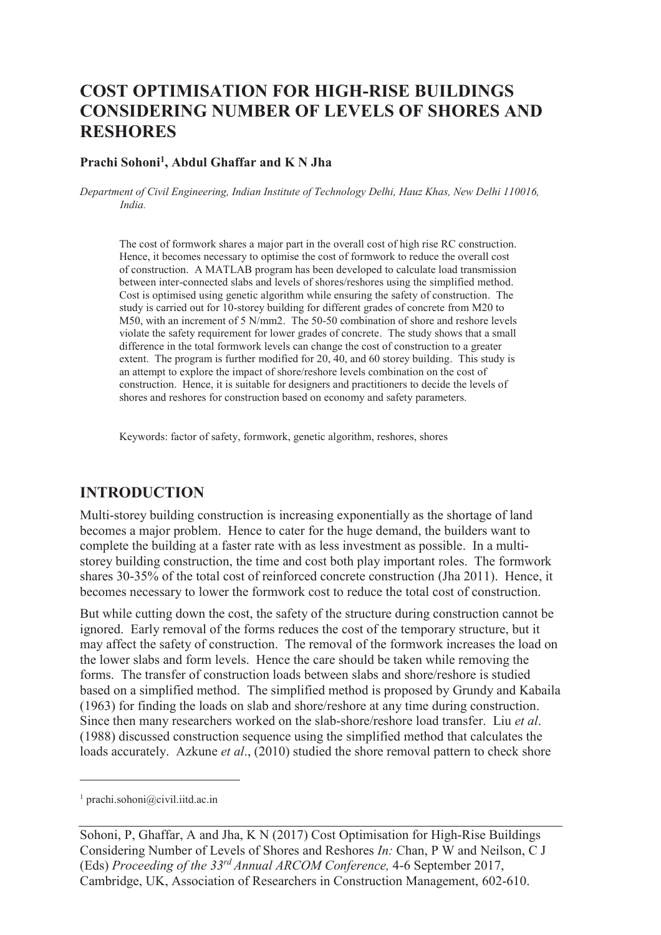# **COST OPTIMISATION FOR HIGH-RISE BUILDINGS CONSIDERING NUMBER OF LEVELS OF SHORES AND RESHORES**

#### **Prachi Sohoni<sup>1</sup> , Abdul Ghaffar and K N Jha**

*Department of Civil Engineering, Indian Institute of Technology Delhi, Hauz Khas, New Delhi 110016, India.* 

The cost of formwork shares a major part in the overall cost of high rise RC construction. Hence, it becomes necessary to optimise the cost of formwork to reduce the overall cost of construction. A MATLAB program has been developed to calculate load transmission between inter-connected slabs and levels of shores/reshores using the simplified method. Cost is optimised using genetic algorithm while ensuring the safety of construction. The study is carried out for 10-storey building for different grades of concrete from M20 to M50, with an increment of 5 N/mm2. The 50-50 combination of shore and reshore levels violate the safety requirement for lower grades of concrete. The study shows that a small difference in the total formwork levels can change the cost of construction to a greater extent. The program is further modified for 20, 40, and 60 storey building. This study is an attempt to explore the impact of shore/reshore levels combination on the cost of construction. Hence, it is suitable for designers and practitioners to decide the levels of shores and reshores for construction based on economy and safety parameters.

Keywords: factor of safety, formwork, genetic algorithm, reshores, shores

### **INTRODUCTION**

Multi-storey building construction is increasing exponentially as the shortage of land becomes a major problem. Hence to cater for the huge demand, the builders want to complete the building at a faster rate with as less investment as possible. In a multistorey building construction, the time and cost both play important roles. The formwork shares 30-35% of the total cost of reinforced concrete construction (Jha 2011). Hence, it becomes necessary to lower the formwork cost to reduce the total cost of construction.

But while cutting down the cost, the safety of the structure during construction cannot be ignored. Early removal of the forms reduces the cost of the temporary structure, but it may affect the safety of construction. The removal of the formwork increases the load on the lower slabs and form levels. Hence the care should be taken while removing the forms. The transfer of construction loads between slabs and shore/reshore is studied based on a simplified method. The simplified method is proposed by Grundy and Kabaila (1963) for finding the loads on slab and shore/reshore at any time during construction. Since then many researchers worked on the slab-shore/reshore load transfer. Liu *et al*. (1988) discussed construction sequence using the simplified method that calculates the loads accurately. Azkune *et al.*, (2010) studied the shore removal pattern to check shore

-

<sup>1</sup> prachi.sohoni@civil.iitd.ac.in

Sohoni, P, Ghaffar, A and Jha, K N (2017) Cost Optimisation for High-Rise Buildings Considering Number of Levels of Shores and Reshores *In:* Chan, P W and Neilson, C J (Eds) *Proceeding of the 33rd Annual ARCOM Conference,* 4-6 September 2017, Cambridge, UK, Association of Researchers in Construction Management, 602-610.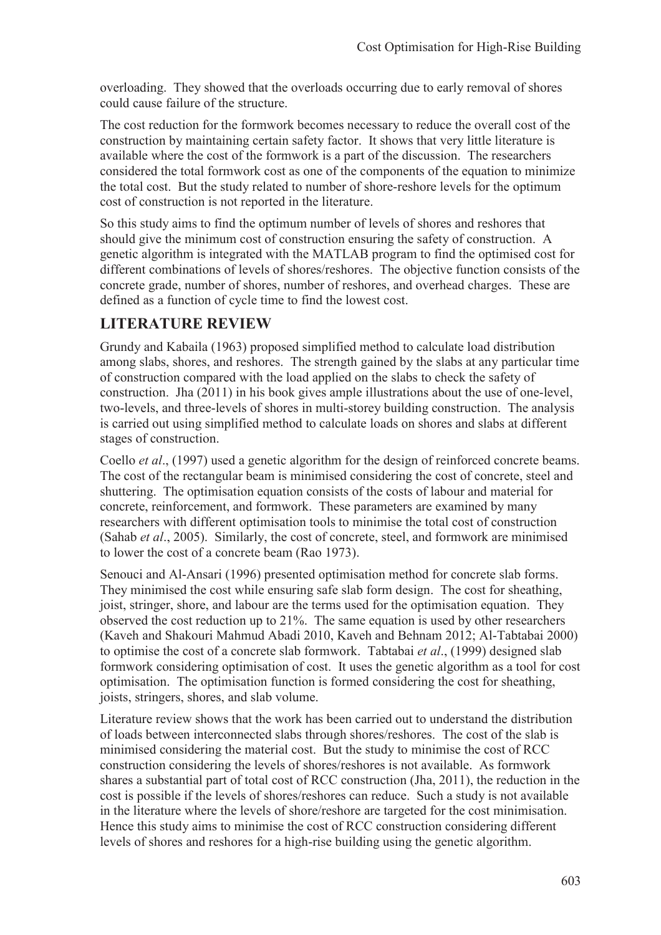overloading. They showed that the overloads occurring due to early removal of shores could cause failure of the structure.

The cost reduction for the formwork becomes necessary to reduce the overall cost of the construction by maintaining certain safety factor. It shows that very little literature is available where the cost of the formwork is a part of the discussion. The researchers considered the total formwork cost as one of the components of the equation to minimize the total cost. But the study related to number of shore-reshore levels for the optimum cost of construction is not reported in the literature.

So this study aims to find the optimum number of levels of shores and reshores that should give the minimum cost of construction ensuring the safety of construction. A genetic algorithm is integrated with the MATLAB program to find the optimised cost for different combinations of levels of shores/reshores. The objective function consists of the concrete grade, number of shores, number of reshores, and overhead charges. These are defined as a function of cycle time to find the lowest cost.

### **LITERATURE REVIEW**

Grundy and Kabaila (1963) proposed simplified method to calculate load distribution among slabs, shores, and reshores. The strength gained by the slabs at any particular time of construction compared with the load applied on the slabs to check the safety of construction. Jha (2011) in his book gives ample illustrations about the use of one-level, two-levels, and three-levels of shores in multi-storey building construction. The analysis is carried out using simplified method to calculate loads on shores and slabs at different stages of construction.

Coello *et al*., (1997) used a genetic algorithm for the design of reinforced concrete beams. The cost of the rectangular beam is minimised considering the cost of concrete, steel and shuttering. The optimisation equation consists of the costs of labour and material for concrete, reinforcement, and formwork. These parameters are examined by many researchers with different optimisation tools to minimise the total cost of construction (Sahab *et al*., 2005). Similarly, the cost of concrete, steel, and formwork are minimised to lower the cost of a concrete beam (Rao 1973).

Senouci and Al-Ansari (1996) presented optimisation method for concrete slab forms. They minimised the cost while ensuring safe slab form design. The cost for sheathing, joist, stringer, shore, and labour are the terms used for the optimisation equation. They observed the cost reduction up to 21%. The same equation is used by other researchers (Kaveh and Shakouri Mahmud Abadi 2010, Kaveh and Behnam 2012; Al-Tabtabai 2000) to optimise the cost of a concrete slab formwork. Tabtabai *et al*., (1999) designed slab formwork considering optimisation of cost. It uses the genetic algorithm as a tool for cost optimisation. The optimisation function is formed considering the cost for sheathing, joists, stringers, shores, and slab volume.

Literature review shows that the work has been carried out to understand the distribution of loads between interconnected slabs through shores/reshores. The cost of the slab is minimised considering the material cost. But the study to minimise the cost of RCC construction considering the levels of shores/reshores is not available. As formwork shares a substantial part of total cost of RCC construction (Jha, 2011), the reduction in the cost is possible if the levels of shores/reshores can reduce. Such a study is not available in the literature where the levels of shore/reshore are targeted for the cost minimisation. Hence this study aims to minimise the cost of RCC construction considering different levels of shores and reshores for a high-rise building using the genetic algorithm.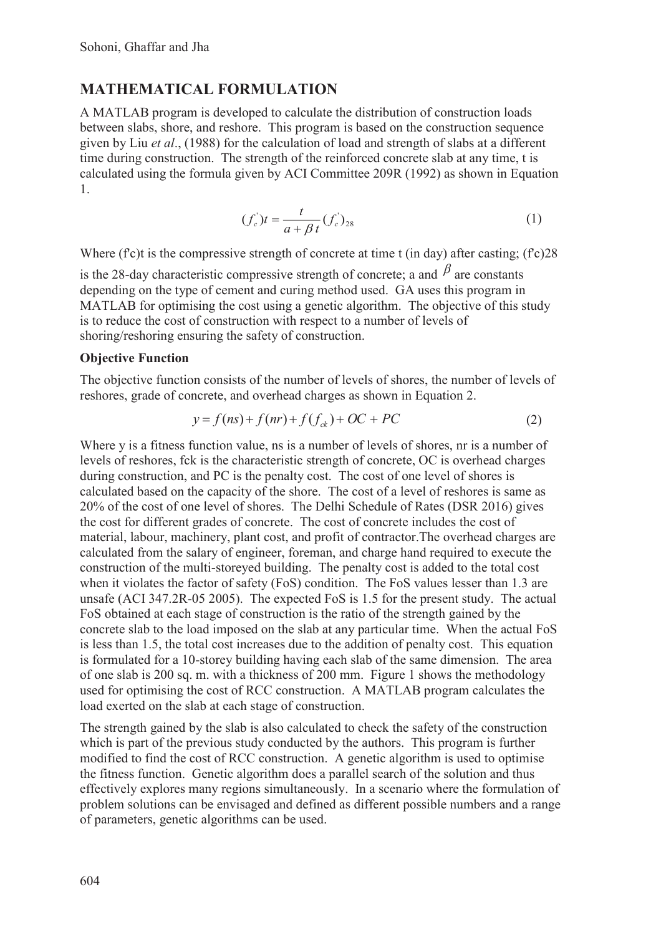# **MATHEMATICAL FORMULATION**

A MATLAB program is developed to calculate the distribution of construction loads between slabs, shore, and reshore. This program is based on the construction sequence given by Liu *et al*., (1988) for the calculation of load and strength of slabs at a different time during construction. The strength of the reinforced concrete slab at any time, t is calculated using the formula given by ACI Committee 209R (1992) as shown in Equation 1.

$$
(f_c')t = \frac{t}{a + \beta t}(f_c')_{28}
$$
 (1)

Where (f'c)t is the compressive strength of concrete at time t (in day) after casting; (f'c)28 is the 28-day characteristic compressive strength of concrete; a and  $\beta$  are constants depending on the type of cement and curing method used. GA uses this program in MATLAB for optimising the cost using a genetic algorithm. The objective of this study is to reduce the cost of construction with respect to a number of levels of shoring/reshoring ensuring the safety of construction.

#### **Objective Function**

The objective function consists of the number of levels of shores, the number of levels of reshores, grade of concrete, and overhead charges as shown in Equation 2.

$$
y = f(ns) + f(nr) + f(f_{ck}) + OC + PC
$$
 (2)

Where y is a fitness function value, ns is a number of levels of shores, nr is a number of levels of reshores, fck is the characteristic strength of concrete, OC is overhead charges during construction, and PC is the penalty cost. The cost of one level of shores is calculated based on the capacity of the shore. The cost of a level of reshores is same as 20% of the cost of one level of shores. The Delhi Schedule of Rates (DSR 2016) gives the cost for different grades of concrete. The cost of concrete includes the cost of material, labour, machinery, plant cost, and profit of contractor.The overhead charges are calculated from the salary of engineer, foreman, and charge hand required to execute the construction of the multi-storeyed building. The penalty cost is added to the total cost when it violates the factor of safety (FoS) condition. The FoS values lesser than 1.3 are unsafe (ACI 347.2R-05 2005). The expected FoS is 1.5 for the present study. The actual FoS obtained at each stage of construction is the ratio of the strength gained by the concrete slab to the load imposed on the slab at any particular time. When the actual FoS is less than 1.5, the total cost increases due to the addition of penalty cost. This equation is formulated for a 10-storey building having each slab of the same dimension. The area of one slab is 200 sq. m. with a thickness of 200 mm. Figure 1 shows the methodology used for optimising the cost of RCC construction. A MATLAB program calculates the load exerted on the slab at each stage of construction.

The strength gained by the slab is also calculated to check the safety of the construction which is part of the previous study conducted by the authors. This program is further modified to find the cost of RCC construction. A genetic algorithm is used to optimise the fitness function. Genetic algorithm does a parallel search of the solution and thus effectively explores many regions simultaneously. In a scenario where the formulation of problem solutions can be envisaged and defined as different possible numbers and a range of parameters, genetic algorithms can be used.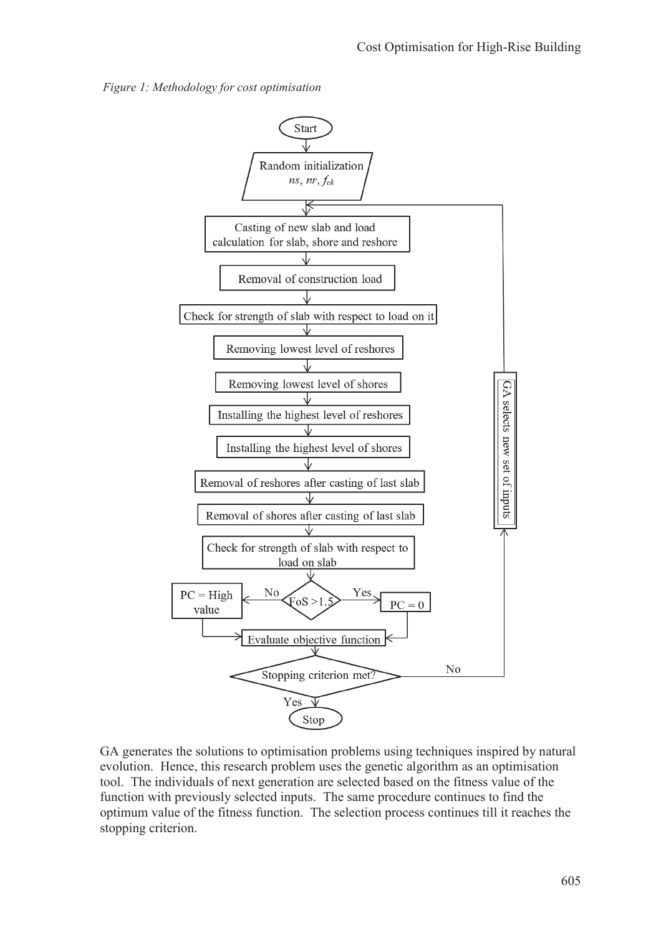



GA generates the solutions to optimisation problems using techniques inspired by natural evolution. Hence, this research problem uses the genetic algorithm as an optimisation tool. The individuals of next generation are selected based on the fitness value of the function with previously selected inputs. The same procedure continues to find the optimum value of the fitness function. The selection process continues till it reaches the stopping criterion.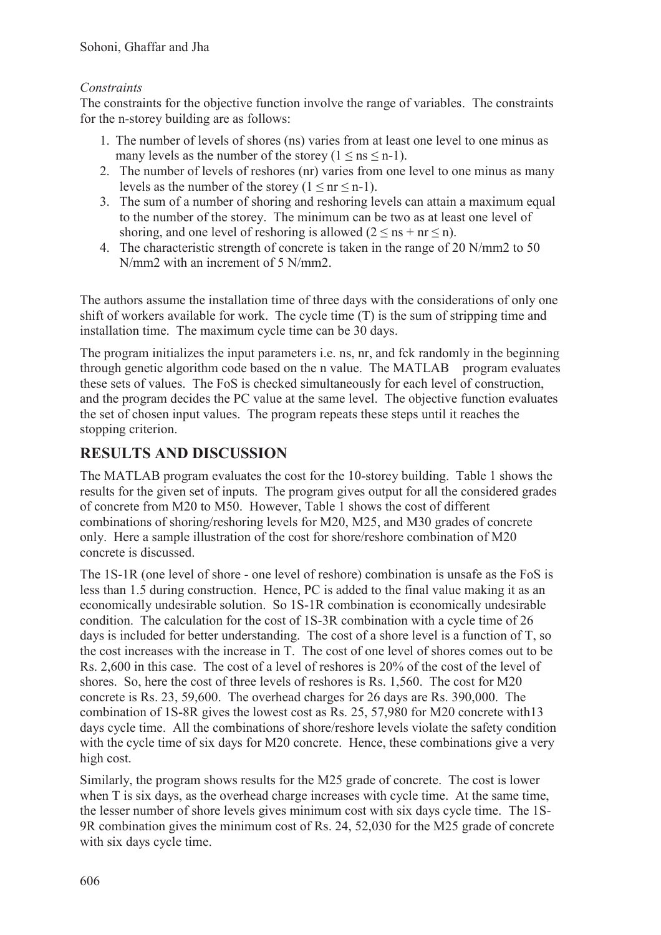### *Constraints*

The constraints for the objective function involve the range of variables. The constraints for the n-storey building are as follows:

- 1. The number of levels of shores (ns) varies from at least one level to one minus as many levels as the number of the storey  $(1 \leq ns \leq n-1)$ .
- 2. The number of levels of reshores (nr) varies from one level to one minus as many levels as the number of the storey  $(1 \leq nr \leq n-1)$ .
- 3. The sum of a number of shoring and reshoring levels can attain a maximum equal to the number of the storey. The minimum can be two as at least one level of shoring, and one level of reshoring is allowed  $(2 \leq ns + nr \leq n)$ .
- 4. The characteristic strength of concrete is taken in the range of 20 N/mm2 to 50 N/mm2 with an increment of 5 N/mm2.

The authors assume the installation time of three days with the considerations of only one shift of workers available for work. The cycle time (T) is the sum of stripping time and installation time. The maximum cycle time can be 30 days.

The program initializes the input parameters i.e. ns, nr, and fck randomly in the beginning through genetic algorithm code based on the n value. The MATLAB program evaluates these sets of values. The FoS is checked simultaneously for each level of construction, and the program decides the PC value at the same level. The objective function evaluates the set of chosen input values. The program repeats these steps until it reaches the stopping criterion.

## **RESULTS AND DISCUSSION**

The MATLAB program evaluates the cost for the 10-storey building. Table 1 shows the results for the given set of inputs. The program gives output for all the considered grades of concrete from M20 to M50. However, Table 1 shows the cost of different combinations of shoring/reshoring levels for M20, M25, and M30 grades of concrete only. Here a sample illustration of the cost for shore/reshore combination of M20 concrete is discussed.

The 1S-1R (one level of shore - one level of reshore) combination is unsafe as the FoS is less than 1.5 during construction. Hence, PC is added to the final value making it as an economically undesirable solution. So 1S-1R combination is economically undesirable condition. The calculation for the cost of 1S-3R combination with a cycle time of 26 days is included for better understanding. The cost of a shore level is a function of T, so the cost increases with the increase in T. The cost of one level of shores comes out to be Rs. 2,600 in this case. The cost of a level of reshores is 20% of the cost of the level of shores. So, here the cost of three levels of reshores is Rs. 1,560. The cost for M20 concrete is Rs. 23, 59,600. The overhead charges for 26 days are Rs. 390,000. The combination of 1S-8R gives the lowest cost as Rs. 25, 57,980 for M20 concrete with13 days cycle time. All the combinations of shore/reshore levels violate the safety condition with the cycle time of six days for M20 concrete. Hence, these combinations give a very high cost.

Similarly, the program shows results for the M25 grade of concrete. The cost is lower when T is six days, as the overhead charge increases with cycle time. At the same time, the lesser number of shore levels gives minimum cost with six days cycle time. The 1S-9R combination gives the minimum cost of Rs. 24, 52,030 for the M25 grade of concrete with six days cycle time.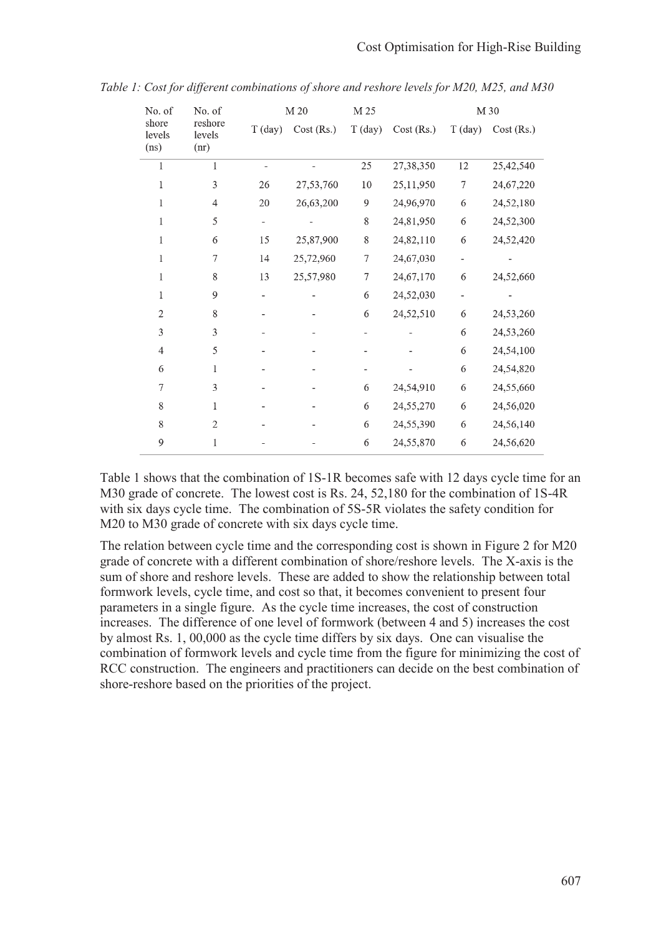| No. of<br>shore<br>levels<br>(ns) | No. of<br>reshore<br>levels<br>(nr) | M 20    |           | M 25    | M 30      |         |           |
|-----------------------------------|-------------------------------------|---------|-----------|---------|-----------|---------|-----------|
|                                   |                                     | T (day) | Cost(Rs.) | T (day) | Cost(Rs.) | T (day) | Cost(Rs.) |
| 1                                 | $\mathbf{1}$                        |         |           | 25      | 27,38,350 | 12      | 25,42,540 |
| 1                                 | 3                                   | 26      | 27,53,760 | 10      | 25,11,950 | $\tau$  | 24,67,220 |
| 1                                 | 4                                   | $20\,$  | 26,63,200 | 9       | 24,96,970 | 6       | 24,52,180 |
| 1                                 | 5                                   |         |           | 8       | 24,81,950 | 6       | 24,52,300 |
| $\mathbf{1}$                      | 6                                   | 15      | 25,87,900 | 8       | 24,82,110 | 6       | 24,52,420 |
| $\mathbf{1}$                      | $\overline{7}$                      | 14      | 25,72,960 | 7       | 24,67,030 |         |           |
| $\mathbf{1}$                      | 8                                   | 13      | 25,57,980 | 7       | 24,67,170 | 6       | 24,52,660 |
| 1                                 | 9                                   |         |           | 6       | 24,52,030 |         |           |
| $\overline{2}$                    | 8                                   |         |           | 6       | 24,52,510 | 6       | 24,53,260 |
| 3                                 | 3                                   |         |           |         |           | 6       | 24,53,260 |
| $\overline{4}$                    | 5                                   |         |           |         |           | 6       | 24,54,100 |
| 6                                 | $\mathbf{1}$                        |         |           |         |           | 6       | 24,54,820 |
| 7                                 | 3                                   |         |           | 6       | 24,54,910 | 6       | 24,55,660 |
| 8                                 | $\mathbf{1}$                        |         |           | 6       | 24,55,270 | 6       | 24,56,020 |
| 8                                 | $\overline{2}$                      |         |           | 6       | 24,55,390 | 6       | 24,56,140 |
| 9                                 | $\mathbf{1}$                        |         |           | 6       | 24,55,870 | 6       | 24,56,620 |

*Table 1: Cost for different combinations of shore and reshore levels for M20, M25, and M30* 

Table 1 shows that the combination of 1S-1R becomes safe with 12 days cycle time for an M30 grade of concrete. The lowest cost is Rs. 24, 52,180 for the combination of 1S-4R with six days cycle time. The combination of 5S-5R violates the safety condition for M20 to M30 grade of concrete with six days cycle time.

The relation between cycle time and the corresponding cost is shown in Figure 2 for M20 grade of concrete with a different combination of shore/reshore levels. The X-axis is the sum of shore and reshore levels. These are added to show the relationship between total formwork levels, cycle time, and cost so that, it becomes convenient to present four parameters in a single figure. As the cycle time increases, the cost of construction increases. The difference of one level of formwork (between 4 and 5) increases the cost by almost Rs. 1, 00,000 as the cycle time differs by six days. One can visualise the combination of formwork levels and cycle time from the figure for minimizing the cost of RCC construction. The engineers and practitioners can decide on the best combination of shore-reshore based on the priorities of the project.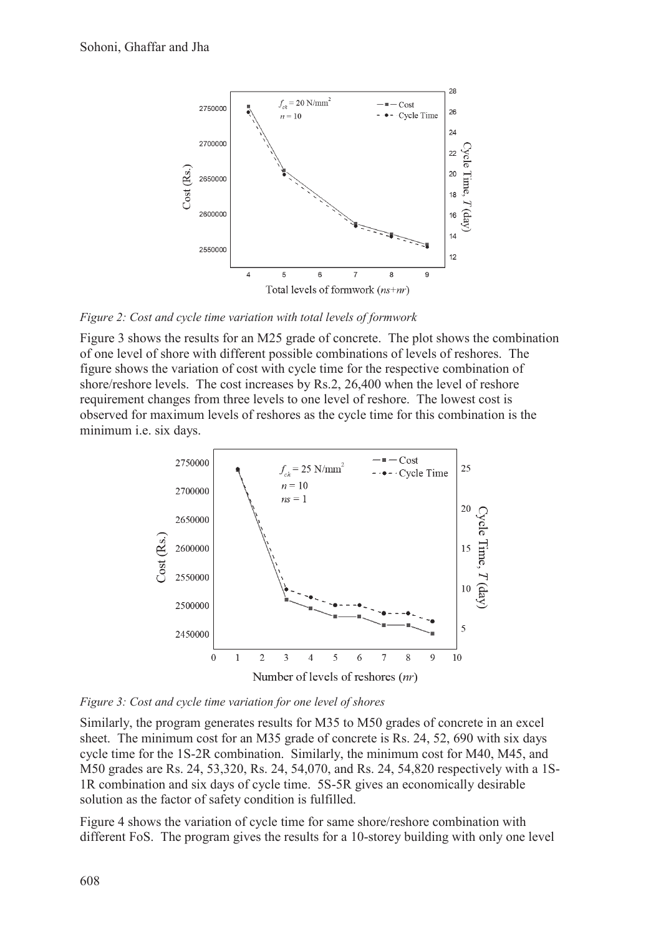

*Figure 2: Cost and cycle time variation with total levels of formwork* 

Figure 3 shows the results for an M25 grade of concrete. The plot shows the combination of one level of shore with different possible combinations of levels of reshores. The figure shows the variation of cost with cycle time for the respective combination of shore/reshore levels. The cost increases by Rs.2, 26,400 when the level of reshore requirement changes from three levels to one level of reshore. The lowest cost is observed for maximum levels of reshores as the cycle time for this combination is the minimum i.e. six days.



*Figure 3: Cost and cycle time variation for one level of shores* 

Similarly, the program generates results for M35 to M50 grades of concrete in an excel sheet. The minimum cost for an M35 grade of concrete is Rs. 24, 52, 690 with six days cycle time for the 1S-2R combination. Similarly, the minimum cost for M40, M45, and M50 grades are Rs. 24, 53,320, Rs. 24, 54,070, and Rs. 24, 54,820 respectively with a 1S-1R combination and six days of cycle time. 5S-5R gives an economically desirable solution as the factor of safety condition is fulfilled.

Figure 4 shows the variation of cycle time for same shore/reshore combination with different FoS. The program gives the results for a 10-storey building with only one level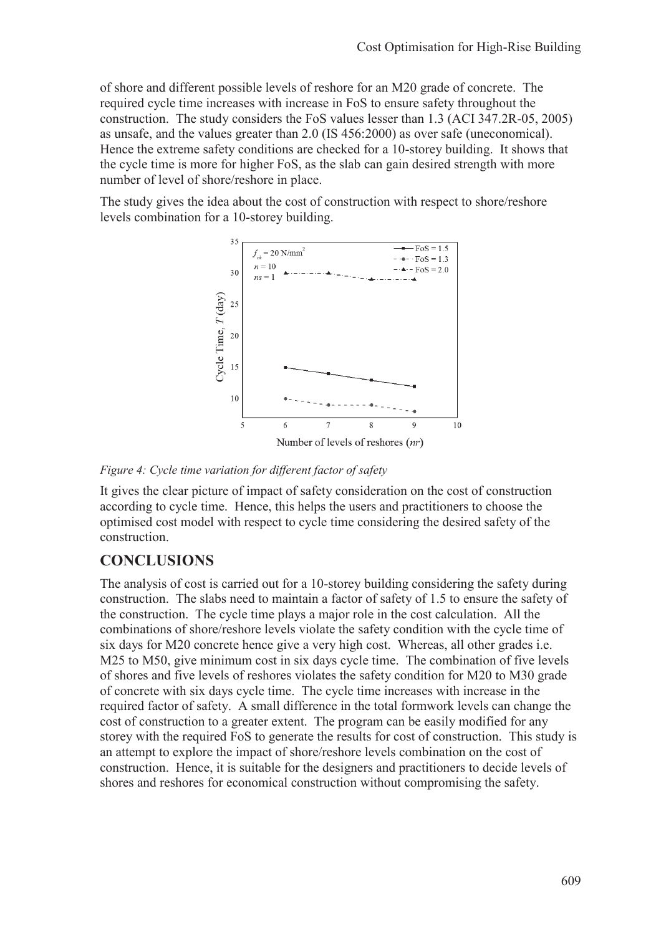of shore and different possible levels of reshore for an M20 grade of concrete. The required cycle time increases with increase in FoS to ensure safety throughout the construction. The study considers the FoS values lesser than 1.3 (ACI 347.2R-05, 2005) as unsafe, and the values greater than 2.0 (IS 456:2000) as over safe (uneconomical). Hence the extreme safety conditions are checked for a 10-storey building. It shows that the cycle time is more for higher FoS, as the slab can gain desired strength with more number of level of shore/reshore in place.

The study gives the idea about the cost of construction with respect to shore/reshore levels combination for a 10-storey building.



*Figure 4: Cycle time variation for different factor of safety*

It gives the clear picture of impact of safety consideration on the cost of construction according to cycle time. Hence, this helps the users and practitioners to choose the optimised cost model with respect to cycle time considering the desired safety of the construction.

## **CONCLUSIONS**

The analysis of cost is carried out for a 10-storey building considering the safety during construction. The slabs need to maintain a factor of safety of 1.5 to ensure the safety of the construction. The cycle time plays a major role in the cost calculation. All the combinations of shore/reshore levels violate the safety condition with the cycle time of six days for M20 concrete hence give a very high cost. Whereas, all other grades i.e. M25 to M50, give minimum cost in six days cycle time. The combination of five levels of shores and five levels of reshores violates the safety condition for M20 to M30 grade of concrete with six days cycle time. The cycle time increases with increase in the required factor of safety. A small difference in the total formwork levels can change the cost of construction to a greater extent. The program can be easily modified for any storey with the required FoS to generate the results for cost of construction. This study is an attempt to explore the impact of shore/reshore levels combination on the cost of construction. Hence, it is suitable for the designers and practitioners to decide levels of shores and reshores for economical construction without compromising the safety.